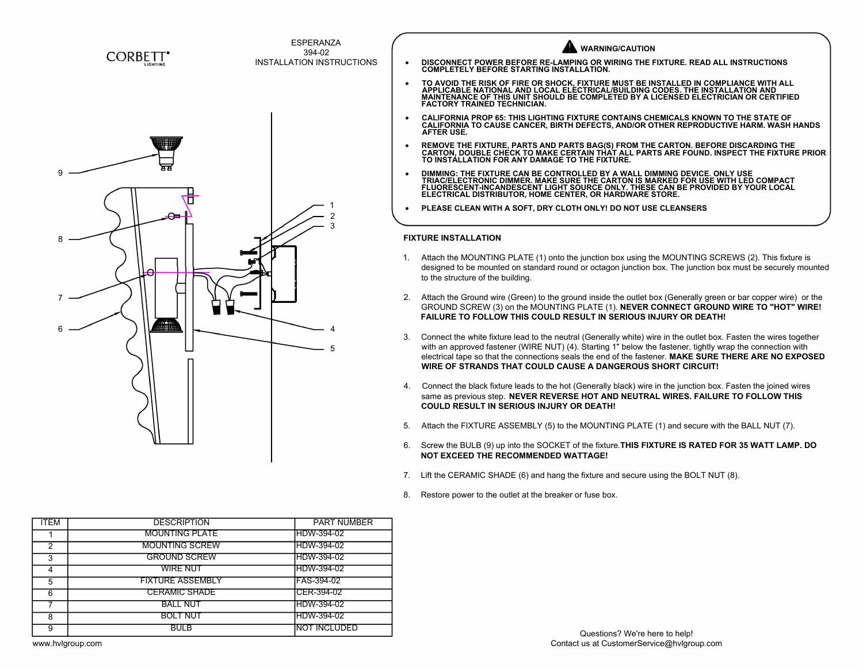

|                             | <b>VARNING/CAUTION</b>                                                                                                                                                                                                                                                                                                                                                                                         |  |  |  |
|-----------------------------|----------------------------------------------------------------------------------------------------------------------------------------------------------------------------------------------------------------------------------------------------------------------------------------------------------------------------------------------------------------------------------------------------------------|--|--|--|
|                             | DISCONNECT POWER BEFORE RE-LAMPING OR WIRING THE FIXTURE. READ ALL INSTRUCTIONS<br><b>COMPLETELY BEFORE STARTING INSTALLATION.</b>                                                                                                                                                                                                                                                                             |  |  |  |
|                             | TO AVOID THE RISK OF FIRE OR SHOCK, FIXTURE MUST BE INSTALLED IN COMPLIANCE WITH ALL<br>APPLICABLE NATIONAL AND LOCAL ELECTRICAL/BUILDING CODES. THE INSTALLATION AND<br>MAINTENANCE OF THIS UNIT SHOULD BE COMPLETED BY A LICENSED<br><b>FACTORY TRAINED TECHNICIAN.</b>                                                                                                                                      |  |  |  |
|                             | CALIFORNIA PROP 65: THIS LIGHTING FIXTURE CONTAINS CHEMICALS KNOWN TO THE STATE OF<br>CALIFORNIA TO CAUSE CANCER, BIRTH DEFECTS, AND/OR OTHER REPRODUCTIVE HARM. WASH HANDS<br><b>AFTER USE.</b>                                                                                                                                                                                                               |  |  |  |
|                             | REMOVE THE FIXTURE, PARTS AND PARTS BAG(S) FROM THE CARTON. BEFORE DISCARDING THE CARTON, DOUBLE CHECK TO MAKE CERTAIN THAT ALL PARTS ARE FOUND. INSPECT THE FIXTURE PRIOR<br>TO INSTÁLLATION FOR ANY DAMAGE TO THE FIXTURE.                                                                                                                                                                                   |  |  |  |
|                             | DIMMING: THE FIXTURE CAN BE CONTROLLED BY A WALL DIMMING DEVICE. ONLY USE<br>TRIAC/ELECTRONIC DIMMER. MAKE SURE THE CARTON IS MARKED FOR USE WITH LED COMPACT<br>FLUORESCENT-INCANDESCENT LIGHT SOURCE ONLY. THESE CAN BE PROVIDED BY YOUR LOCAL<br>ELECTRICAL DISTRIBUTOR, HOME CENTER, OR HARDWARE STORE.                                                                                                    |  |  |  |
|                             | PLEASE CLEAN WITH A SOFT, DRY CLOTH ONLY! DO NOT USE CLEANSERS                                                                                                                                                                                                                                                                                                                                                 |  |  |  |
| <b>FIXTURE INSTALLATION</b> |                                                                                                                                                                                                                                                                                                                                                                                                                |  |  |  |
|                             |                                                                                                                                                                                                                                                                                                                                                                                                                |  |  |  |
| 1.                          | Attach the MOUNTING PLATE (1) onto the junction box using the MOUNTING SCREWS (2). This fixture is<br>to the structure of the building.                                                                                                                                                                                                                                                                        |  |  |  |
| 2.                          | designed to be mounted on standard round or octagon junction box. The junction box must be securely mounted<br>Attach the Ground wire (Green) to the ground inside the outlet box (Generally green or bar copper wire) or the<br>GROUND SCREW (3) on the MOUNTING PLATE (1). NEVER CONNECT GROUND WIRE TO "HOT" WIRE!<br><b>FAILURE TO FOLLOW THIS COULD RESULT IN SERIOUS INJURY OR DEATH!</b>                |  |  |  |
| 3.                          | Connect the white fixture lead to the neutral (Generally white) wire in the outlet box. Fasten the wires together<br>with an approved fastener (WIRE NUT) (4). Starting 1" below the fastener, tightly wrap the connection with<br>electrical tape so that the connections seals the end of the fastener. MAKE SURE THERE ARE NO EXPOSED<br><b>WIRE OF STRANDS THAT COULD CAUSE A DANGEROUS SHORT CIRCUIT!</b> |  |  |  |
| 4.                          | Connect the black fixture leads to the hot (Generally black) wire in the junction box. Fasten the joined wires<br>same as previous step. NEVER REVERSE HOT AND NEUTRAL WIRES. FAILURE TO FOLLOW THIS<br><b>COULD RESULT IN SERIOUS INJURY OR DEATH!</b>                                                                                                                                                        |  |  |  |
| 5.                          | Attach the FIXTURE ASSEMBLY (5) to the MOUNTING PLATE (1) and secure with the BALL NUT (7).                                                                                                                                                                                                                                                                                                                    |  |  |  |

- 
- Same as previous step. NEVER KEVERSE HOT AND NEUTRAL WIRES. FAILURE TO FOLLOW THIS<br>COULD RESULT IN SERIOUS INJURY OR DEATH!<br>5. Attach the FIXTURE ASSEMBLY (5) to the MOUNTING PLATE (1) and secure with the BALL NUT (7).<br>6. **NOT EXCEED THE RECOMMENDED WATTAGE!** 3. Attach the FIXTURE ASSEMBLY (5) to the MOUNTING PLATE (1) and secure with the BAL<br>6. Screw the BULB (9) up into the SOCKET of the fixture.**THIS FIXTURE IS RATED FOR 35 W**<br>**NOT EXCEED THE RECOMMENDED WATTAGE!**<br>7. Lift th 8. Screw the BULB (9) up into the SOCKET of the fixture. **THIS FIXTURE IS RATED FOR :**<br> **NOT EXCEED THE RECOMMENDED WATTAGE!**<br>
7. Lift the CERAMIC SHADE (6) and hang the fixture and secure using the BOLT NUT (8).<br>
8. Resto

- 
- 

| ITEM | <b>DESCRIPTION</b>      | <b>PART NUMBER</b> |  |
|------|-------------------------|--------------------|--|
|      | <b>MOUNTING PLATE</b>   | IHDW-394-02        |  |
| ◠    | <b>MOUNTING SCREW</b>   | IHDW-394-02        |  |
| 3    | <b>GROUND SCREW</b>     | IHDW-394-02        |  |
|      | WIRE NUT                | IHDW-394-02        |  |
| 5    | <b>FIXTURE ASSEMBLY</b> | IFAS-394-02        |  |
| 6    | <b>CERAMIC SHADE</b>    | CER-394-02         |  |
|      | <b>BALL NUT</b>         | <b>IHDW-394-02</b> |  |
| 8    | <b>BOLT NUT</b>         | HDW-394-02         |  |
| 9    | <b>BULB</b>             | NOT INCLUDED       |  |